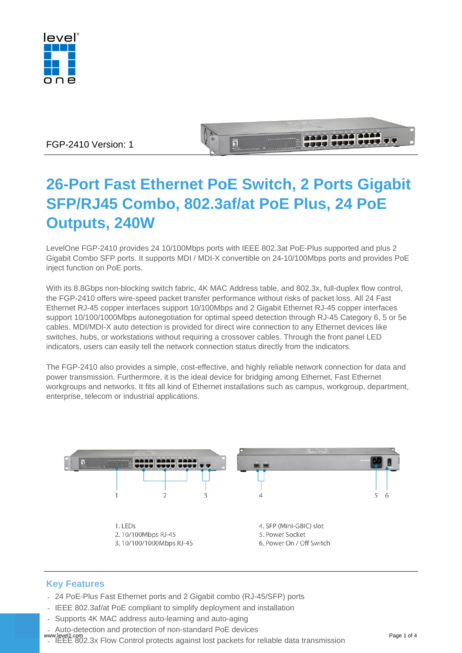

## FGP-2410 Version: 1

# **26-Port Fast Ethernet PoE Switch, 2 Ports Gigabit SFP/RJ45 Combo, 802.3af/at PoE Plus, 24 PoE Outputs, 240W**

in 1

 $-111$ 

LevelOne FGP-2410 provides 24 10/100Mbps ports with IEEE 802.3at PoE-Plus supported and plus 2 Gigabit Combo SFP ports. It supports MDI / MDI-X convertible on 24-10/100Mbps ports and provides PoE inject function on PoE ports.

With its 8.8Gbps non-blocking switch fabric, 4K MAC Address table, and 802.3x, full-duplex flow control, the FGP-2410 offers wire-speed packet transfer performance without risks of packet loss. All 24 Fast Ethernet RJ-45 copper interfaces support 10/100Mbps and 2 Gigabit Ethernet RJ-45 copper interfaces support 10/100/1000Mbps autonegotiation for optimal speed detection through RJ-45 Category 6, 5 or 5e cables. MDI/MDI-X auto detection is provided for direct wire connection to any Ethernet devices like switches, hubs, or workstations without requiring a crossover cables. Through the front panel LED indicators, users can easily tell the network connection status directly from the indicators.

The FGP-2410 also provides a simple, cost-effective, and highly reliable network connection for data and power transmission. Furthermore, it is the ideal device for bridging among Ethernet, Fast Ethernet workgroups and networks. It fits all kind of Ethernet installations such as campus, workgroup, department, enterprise, telecom or industrial applications.



# **Key Features**

- 24 PoE-Plus Fast Ethernet ports and 2 Gigabit combo (RJ-45/SFP) ports
- IEEE 802.3af/at PoE compliant to simplify deployment and installation
- Supports 4K MAC address auto-learning and auto-aging
- Auto-detection and protection of non-standard PoE devices
- IEEE 802.3x Flow Control protects against lost packets for reliable data transmission www.level1.com Page 1 of 4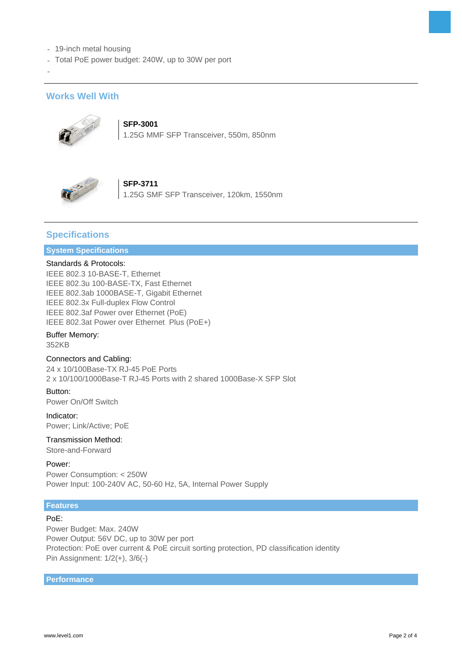- 19-inch metal housing
- Total PoE power budget: 240W, up to 30W per port

### **Works Well With**

-



**SFP-3001** 1.25G MMF SFP Transceiver, 550m, 850nm

### **SFP-3711** 1.25G SMF SFP Transceiver, 120km, 1550nm

### **Specifications**

### **System Specifications**

#### Standards & Protocols:

IEEE 802.3 10-BASE-T, Ethernet IEEE 802.3u 100-BASE-TX, Fast Ethernet IEEE 802.3ab 1000BASE-T, Gigabit Ethernet IEEE 802.3x Full-duplex Flow Control IEEE 802.3af Power over Ethernet (PoE) IEEE 802.3at Power over Ethernet Plus (PoE+)

#### Buffer Memory:

352KB

#### Connectors and Cabling:

24 x 10/100Base-TX RJ-45 PoE Ports 2 x 10/100/1000Base-T RJ-45 Ports with 2 shared 1000Base-X SFP Slot

Button: Power On/Off Switch

Indicator: Power; Link/Active; PoE

# Transmission Method:

Store-and-Forward

Power:

Power Consumption: < 250W Power Input: 100-240V AC, 50-60 Hz, 5A, Internal Power Supply

### **Features**

#### PoE:

Power Budget: Max. 240W Power Output: 56V DC, up to 30W per port Protection: PoE over current & PoE circuit sorting protection, PD classification identity Pin Assignment: 1/2(+), 3/6(-)

**Performance**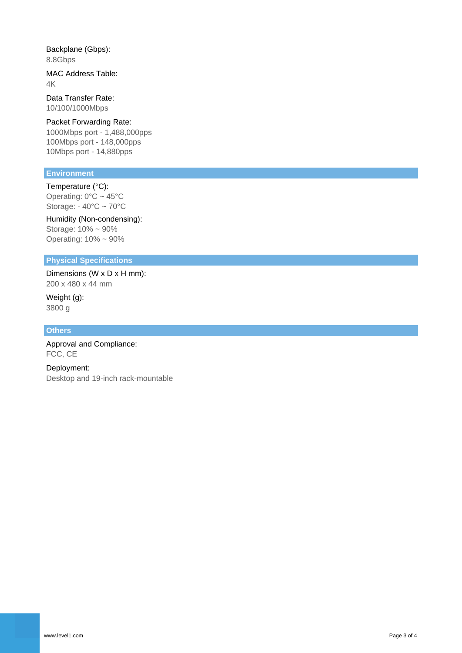Backplane (Gbps): 8.8Gbps

MAC Address Table: 4K

Data Transfer Rate: 10/100/1000Mbps

### Packet Forwarding Rate:

1000Mbps port - 1,488,000pps 100Mbps port - 148,000pps 10Mbps port - 14,880pps

### **Environment**

Temperature (°C): Operating: 0°C ~ 45°C Storage: - 40°C ~ 70°C

Humidity (Non-condensing): Storage: 10% ~ 90% Operating: 10% ~ 90%

### **Physical Specifications**

Dimensions (W x D x H mm): 200 x 480 x 44 mm

Weight (g): 3800 g

#### **Others**

Approval and Compliance: FCC, CE

Deployment: Desktop and 19-inch rack-mountable